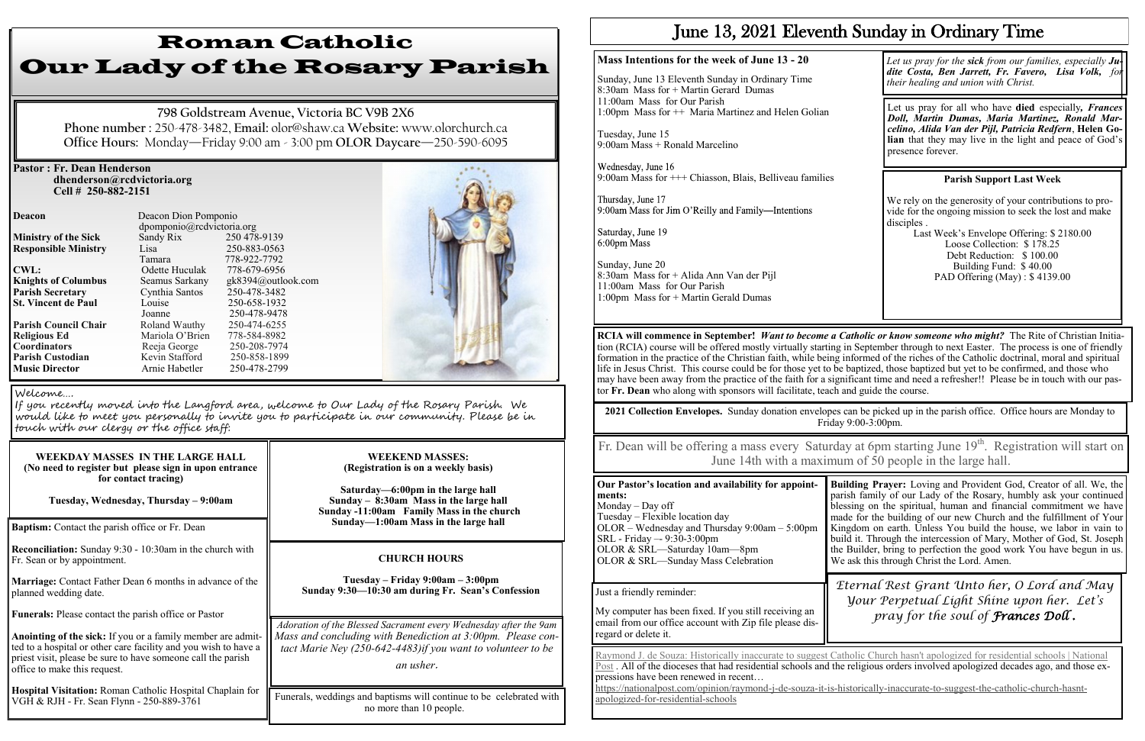#### **Pastor : Fr. Dean Henderson dhenderson@rcdvictoria.org Cell # 250-882-2151**

**Responsible Ministry** Lisa

**St. Vincent de Paul** 

 dpomponio@rcdvictoria.org **Ministry of the Sick** Sandy Rix 250 478-9139<br> **Responsible Ministry** Lisa 250-883-0563 Tamara 778-922-7792<br>Odette Huculak 778-679-6956 **CWL:** Odette Huculak **Knights of Columbus** Seamus Sarkany gk8394@outlook.com **Parish Secretary** Cynthia Santos 250-478-3482<br> **St. Vincent de Paul** Louise 250-658-1932 Joanne 250-478-9478<br>Roland Wauthy 250-474-6255 **Parish Council Chair Roland Wauthy 250-474-6255**<br> **Religious Ed** Mariola O'Brien 778-584-8982 **Religious Ed Mariola O'Brien 778-584-8982<br>
<b>Coordinators** Reeia George 250-208-7974 **Coordinators** Reeja George 250-208-7974<br> **Parish Custodian** Kevin Stafford 250-858-1899 **Parish Custodian** *Kevin Stafford* **Music Director Arnie Habetler** 250-478-2799

**Deacon Deacon Dion Pomponio** 



| WEEKDAY MASSES IN THE LARGE HALL<br>(No need to register but please sign in upon entrance<br>for contact tracing)<br>Tuesday, Wednesday, Thursday – 9:00am                                                                     |          |
|--------------------------------------------------------------------------------------------------------------------------------------------------------------------------------------------------------------------------------|----------|
| Baptism: Contact the parish office or Fr. Dean                                                                                                                                                                                 |          |
| Reconciliation: Sunday 9:30 - 10:30am in the church with<br>Fr. Sean or by appointment.                                                                                                                                        |          |
| Marriage: Contact Father Dean 6 months in advance of the<br>planned wedding date.                                                                                                                                              |          |
| <b>Funerals:</b> Please contact the parish office or Pastor                                                                                                                                                                    | Aa       |
| Anointing of the sick: If you or a family member are admit-<br>ted to a hospital or other care facility and you wish to have a<br>priest visit, please be sure to have someone call the parish<br>office to make this request. | Мc<br>tc |

**Hospital Visitation:** Roman Catholic Hospital Chaplain for VGH & RJH - Fr. Sean Flynn - 250-889-3761

## Roman Catholic Our Lady of the Rosary Parish

**798 Goldstream Avenue, Victoria BC V9B 2X6 Phone number :** 250-478-3482, **Email:** olor@shaw.ca **Website:** www.olorchurch.ca **Office Hours:** Monday—Friday 9:00 am - 3:00 pm **OLOR Daycare**—250-590-6095

> Wednesday, June 16 9:00am Mass for +++ Chiasson, Blais, Belliveau families

Thursday, June 17 9:00am Mass for Jim O'Reilly and Family-Intentions

Saturday, June 19 6:00pm Mass

Last Week's Envelope Offering: \$ 2180.00 Loose Collection: \$ 178.25 Debt Reduction: \$ 100.00 Building Fund: \$ 40.00 PAD Offering (May) : \$4139.00

#### **WEEKEND MASSES: (Registration is on a weekly basis)**

**Saturday—6:00pm in the large hall Sunday – 8:30am Mass in the large hall Sunday -11:00am Family Mass in the church Sunday—1:00am Mass in the large hall**

Funerals, weddings and baptisms will continue to be celebrated with no more than 10 people.

#### Welcome….

If you recently moved into the Langford area, welcome to Our Lady of the Rosary Parish. We would like to meet you personally to invite you to participate in our community. Please be in touch with our clergy or the office staff:

#### **CHURCH HOURS**

**Tuesday – Friday 9:00am – 3:00pm Sunday 9:30—10:30 am during Fr. Sean's Confession** Fr. Dean will be offering a mass every Saturday at 6pm starting June 19<sup>th</sup>. Registration will start on June 14th with a maximum of 50 people in the large hall.

*Adoration of the Blessed Sacrament every Wednesday after the 9am*  ass and concluding with Benediction at 3:00pm. Please con*tact Marie Ney (250-642-4483)if you want to volunteer to be* 

*an usher*.

## June 13, 2021 Eleventh Sunday in Ordinary Time

#### **Mass Intentions for the week of June 13 - 20**

Sunday, June 13 Eleventh Sunday in Ordinary Time 8:30am Mass for + Martin Gerard Dumas 11:00am Mass for Our Parish 1:00pm Mass for ++ Maria Martinez and Helen Golian

Tuesday, June 15 9:00am Mass + Ronald Marcelino

Sunday, June 20 8:30am Mass for + Alida Ann Van der Pijl 11:00am Mass for Our Parish 1:00pm Mass for + Martin Gerald Dumas

#### **Parish Support Last Week**

We rely on the generosity of your contributions to provide for the ongoing mission to seek the lost and make disciples .

**RCIA will commence in September!** *Want to become a Catholic or know someone who might?* The Rite of Christian Initiation (RCIA) course will be offered mostly virtually starting in September through to next Easter. The process is one of friendly formation in the practice of the Christian faith, while being informed of the riches of the Catholic doctrinal, moral and spiritual life in Jesus Christ. This course could be for those yet to be baptized, those baptized but yet to be confirmed, and those who may have been away from the practice of the faith for a significant time and need a refresher!! Please be in touch with our pastor **Fr. Dean** who along with sponsors will facilitate, teach and guide the course.

Let us pray for all who have **died** especially*, Frances Doll, Martin Dumas, Maria Martinez, Ronald Marcelino, Alida Van der Pijl, Patricia Redfern*, **Helen Golian** that they may live in the light and peace of God's presence forever.

*Let us pray for the sick from our families, especially Judite Costa, Ben Jarrett, Fr. Favero, Lisa Volk, for their healing and union with Christ.*

**2021 Collection Envelopes.** Sunday donation envelopes can be picked up in the parish office. Office hours are Monday to Friday 9:00-3:00pm.

| Our Pastor's location and availability for appoint- | $\mathbf{B}$            |
|-----------------------------------------------------|-------------------------|
| ments:                                              |                         |
| Monday $-$ Day off                                  |                         |
| Tuesday - Flexible location day                     | m                       |
| $OLOR$ – Wednesday and Thursday 9:00am – 5:00pm     | $\overline{\mathsf{K}}$ |
| SRL - Friday - 9:30-3:00pm                          |                         |
| OLOR & SRL-Saturday 10am-8pm                        | th                      |
| OLOR & SRL—Sunday Mass Celebration                  |                         |
|                                                     |                         |
|                                                     |                         |
| Just a friendly reminder:                           |                         |

**Building Prayer:** Loving and Provident God, Creator of all. We, the parish family of our Lady of the Rosary, humbly ask your continued lessing on the spiritual, human and financial commitment we have made for the building of our new Church and the fulfillment of Your Kingdom on earth. Unless You build the house, we labor in vain to build it. Through the intercession of Mary, Mother of God, St. Joseph the Builder, bring to perfection the good work You have begun in us. We ask this through Christ the Lord. Amen.

My computer has been fixed. If you still receiving an email from our office account with Zip file please disregard or delete it.

*Eternal Rest Grant Unto her, O Lord and May Your Perpetual Light Shine upon her. Let's pray for the soul of Frances Doll .*

[Raymond J. de Souza: Historically inaccurate to suggest Catholic Church hasn't apologized for residential schools | National](https://nationalpost.com/opinion/raymond-j-de-souza-it-is-historically-inaccurate-to-suggest-the-catholic-church-hasnt-apologized-for-residential-schools)  [Post](https://nationalpost.com/opinion/raymond-j-de-souza-it-is-historically-inaccurate-to-suggest-the-catholic-church-hasnt-apologized-for-residential-schools) . All of the dioceses that had residential schools and the religious orders involved apologized decades ago, and those expressions have been renewed in recent… [https://nationalpost.com/opinion/raymond](https://nationalpost.com/opinion/raymond-j-de-souza-it-is-historically-inaccurate-to-suggest-the-catholic-church-hasnt-apologized-for-residential-schools)-j-de-souza-it-is-historically-inaccurate-to-suggest-the-catholic-church-hasnt[apologized](https://nationalpost.com/opinion/raymond-j-de-souza-it-is-historically-inaccurate-to-suggest-the-catholic-church-hasnt-apologized-for-residential-schools)-for-residential-schools